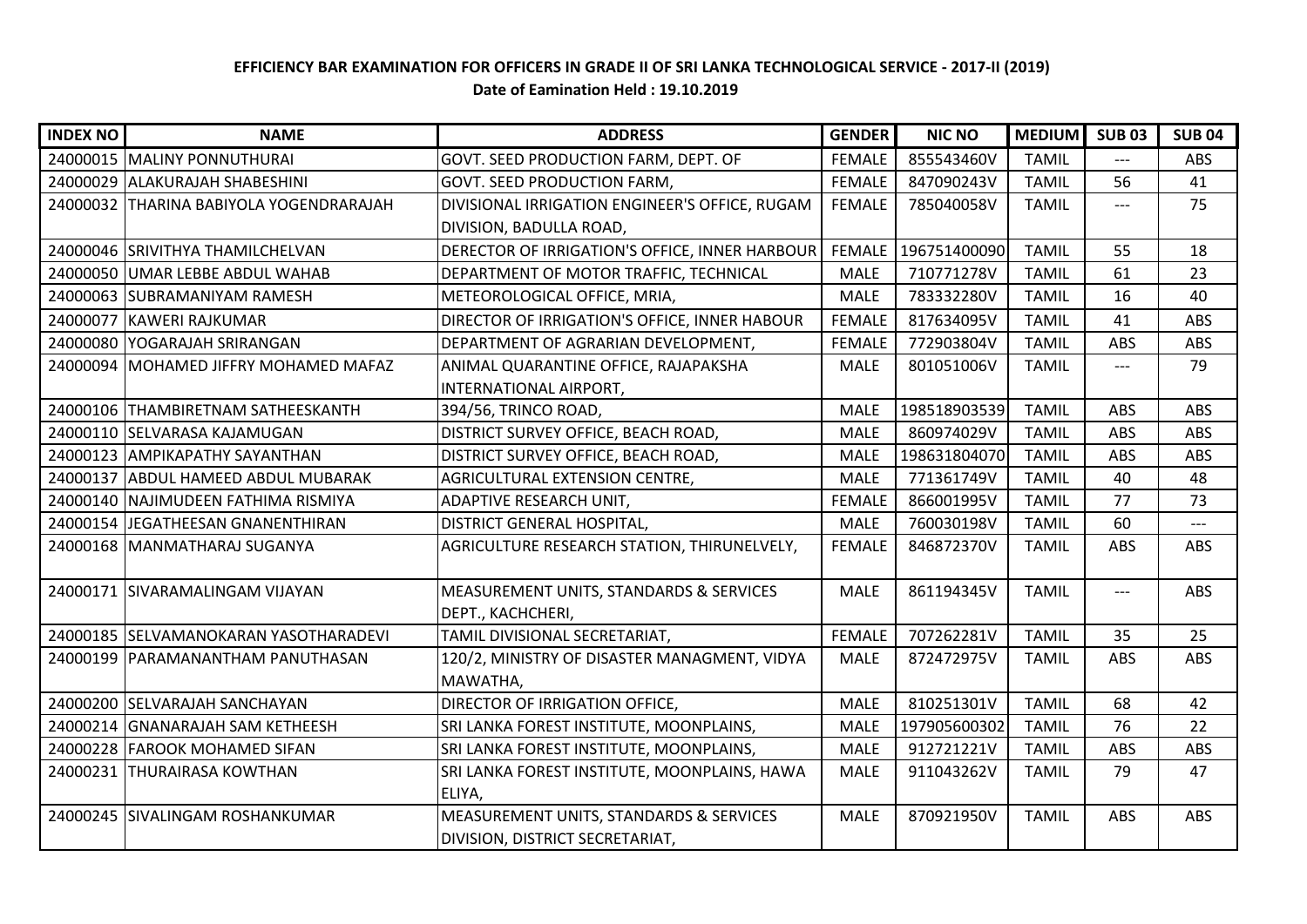## **EFFICIENCY BAR EXAMINATION FOR OFFICERS IN GRADE II OF SRI LANKA TECHNOLOGICAL SERVICE - 2017-II (2019) Date of Eamination Held : 19.10.2019**

| <b>INDEX NO</b> | <b>NAME</b>                             | <b>ADDRESS</b>                                 | <b>GENDER</b> | <b>NIC NO</b> | <b>MEDIUM</b> | <b>SUB03</b> | <b>SUB 04</b> |
|-----------------|-----------------------------------------|------------------------------------------------|---------------|---------------|---------------|--------------|---------------|
|                 | 24000015 MALINY PONNUTHURAI             | GOVT. SEED PRODUCTION FARM, DEPT. OF           | <b>FEMALE</b> | 855543460V    | <b>TAMIL</b>  | $---$        | ABS           |
|                 | 24000029 ALAKURAJAH SHABESHINI          | <b>GOVT. SEED PRODUCTION FARM,</b>             | <b>FEMALE</b> | 847090243V    | <b>TAMIL</b>  | 56           | 41            |
|                 | 24000032 THARINA BABIYOLA YOGENDRARAJAH | DIVISIONAL IRRIGATION ENGINEER'S OFFICE, RUGAM | <b>FEMALE</b> | 785040058V    | <b>TAMIL</b>  | $---$        | 75            |
|                 |                                         | DIVISION, BADULLA ROAD,                        |               |               |               |              |               |
|                 | 24000046 SRIVITHYA THAMILCHELVAN        | DERECTOR OF IRRIGATION'S OFFICE, INNER HARBOUR | FEMALE        | 196751400090  | <b>TAMIL</b>  | 55           | 18            |
|                 | 24000050 UMAR LEBBE ABDUL WAHAB         | DEPARTMENT OF MOTOR TRAFFIC, TECHNICAL         | <b>MALE</b>   | 710771278V    | <b>TAMIL</b>  | 61           | 23            |
|                 | 24000063 SUBRAMANIYAM RAMESH            | METEOROLOGICAL OFFICE, MRIA,                   | <b>MALE</b>   | 783332280V    | <b>TAMIL</b>  | 16           | 40            |
|                 | 24000077 KAWERI RAJKUMAR                | DIRECTOR OF IRRIGATION'S OFFICE, INNER HABOUR  | <b>FEMALE</b> | 817634095V    | <b>TAMIL</b>  | 41           | ABS           |
|                 | 24000080 YOGARAJAH SRIRANGAN            | DEPARTMENT OF AGRARIAN DEVELOPMENT,            | <b>FEMALE</b> | 772903804V    | <b>TAMIL</b>  | ABS          | ABS           |
|                 | 24000094 MOHAMED JIFFRY MOHAMED MAFAZ   | ANIMAL QUARANTINE OFFICE, RAJAPAKSHA           | <b>MALE</b>   | 801051006V    | <b>TAMIL</b>  | $---$        | 79            |
|                 |                                         | INTERNATIONAL AIRPORT,                         |               |               |               |              |               |
|                 | 24000106 THAMBIRETNAM SATHEESKANTH      | 394/56, TRINCO ROAD,                           | <b>MALE</b>   | 198518903539  | <b>TAMIL</b>  | ABS          | ABS           |
|                 | 24000110 SELVARASA KAJAMUGAN            | DISTRICT SURVEY OFFICE, BEACH ROAD,            | <b>MALE</b>   | 860974029V    | <b>TAMIL</b>  | ABS          | ABS           |
|                 | 24000123 AMPIKAPATHY SAYANTHAN          | DISTRICT SURVEY OFFICE, BEACH ROAD,            | <b>MALE</b>   | 198631804070  | <b>TAMIL</b>  | ABS          | ABS           |
|                 | 24000137 ABDUL HAMEED ABDUL MUBARAK     | AGRICULTURAL EXTENSION CENTRE,                 | <b>MALE</b>   | 771361749V    | <b>TAMIL</b>  | 40           | 48            |
|                 | 24000140 NAJIMUDEEN FATHIMA RISMIYA     | ADAPTIVE RESEARCH UNIT,                        | <b>FEMALE</b> | 866001995V    | <b>TAMIL</b>  | 77           | 73            |
|                 | 24000154 JEGATHEESAN GNANENTHIRAN       | DISTRICT GENERAL HOSPITAL,                     | <b>MALE</b>   | 760030198V    | <b>TAMIL</b>  | 60           |               |
|                 | 24000168   MANMATHARAJ SUGANYA          | AGRICULTURE RESEARCH STATION, THIRUNELVELY,    | <b>FEMALE</b> | 846872370V    | <b>TAMIL</b>  | ABS          | ABS           |
|                 |                                         |                                                |               |               |               |              |               |
| 24000171        | SIVARAMALINGAM VIJAYAN                  | MEASUREMENT UNITS, STANDARDS & SERVICES        | <b>MALE</b>   | 861194345V    | <b>TAMIL</b>  | $---$        | ABS           |
|                 |                                         | DEPT., KACHCHERI,                              |               |               |               |              |               |
|                 | 24000185 SELVAMANOKARAN YASOTHARADEVI   | TAMIL DIVISIONAL SECRETARIAT,                  | <b>FEMALE</b> | 707262281V    | <b>TAMIL</b>  | 35           | 25            |
|                 | 24000199   PARAMANANTHAM PANUTHASAN     | 120/2, MINISTRY OF DISASTER MANAGMENT, VIDYA   | <b>MALE</b>   | 872472975V    | <b>TAMIL</b>  | ABS          | ABS           |
|                 |                                         | MAWATHA,                                       |               |               |               |              |               |
|                 | 24000200 SELVARAJAH SANCHAYAN           | DIRECTOR OF IRRIGATION OFFICE,                 | <b>MALE</b>   | 810251301V    | <b>TAMIL</b>  | 68           | 42            |
|                 | 24000214 GNANARAJAH SAM KETHEESH        | SRI LANKA FOREST INSTITUTE, MOONPLAINS,        | <b>MALE</b>   | 197905600302  | <b>TAMIL</b>  | 76           | 22            |
|                 | 24000228 FAROOK MOHAMED SIFAN           | SRI LANKA FOREST INSTITUTE, MOONPLAINS,        | <b>MALE</b>   | 912721221V    | <b>TAMIL</b>  | ABS          | ABS           |
| 24000231        | <b>THURAIRASA KOWTHAN</b>               | SRI LANKA FOREST INSTITUTE, MOONPLAINS, HAWA   | <b>MALE</b>   | 911043262V    | <b>TAMIL</b>  | 79           | 47            |
|                 |                                         | ELIYA,                                         |               |               |               |              |               |
|                 | 24000245 SIVALINGAM ROSHANKUMAR         | MEASUREMENT UNITS, STANDARDS & SERVICES        | MALE          | 870921950V    | <b>TAMIL</b>  | ABS          | ABS           |
|                 |                                         | <b>DIVISION, DISTRICT SECRETARIAT,</b>         |               |               |               |              |               |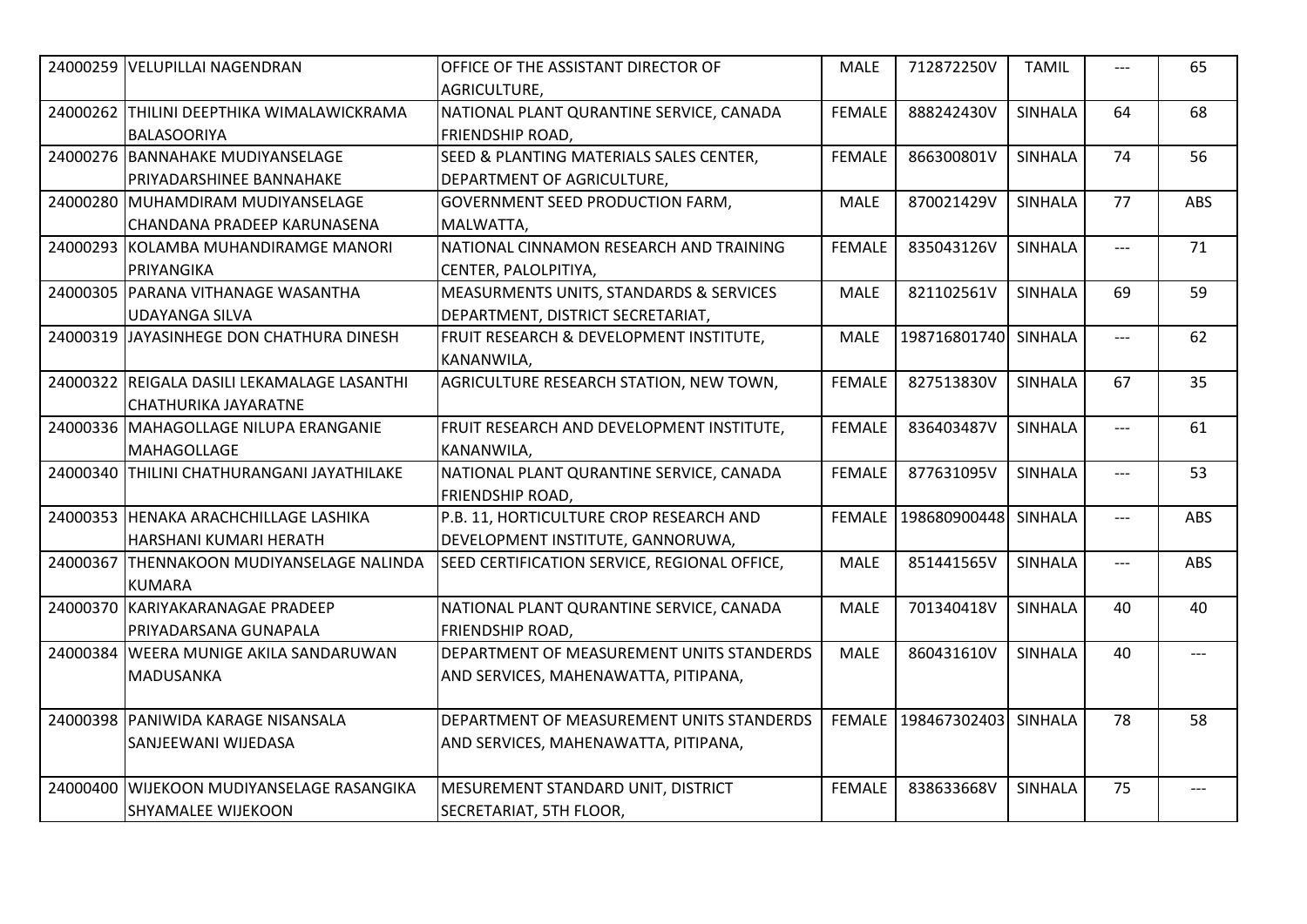| 24000259 | <b>VELUPILLAI NAGENDRAN</b>                                         | OFFICE OF THE ASSISTANT DIRECTOR OF<br>AGRICULTURE,                               | <b>MALE</b>   | 712872250V   | <b>TAMIL</b>   |       | 65  |
|----------|---------------------------------------------------------------------|-----------------------------------------------------------------------------------|---------------|--------------|----------------|-------|-----|
|          | 24000262 THILINI DEEPTHIKA WIMALAWICKRAMA<br><b>BALASOORIYA</b>     | NATIONAL PLANT QURANTINE SERVICE, CANADA<br><b>FRIENDSHIP ROAD,</b>               | <b>FEMALE</b> | 888242430V   | <b>SINHALA</b> | 64    | 68  |
|          | 24000276 BANNAHAKE MUDIYANSELAGE<br>PRIYADARSHINEE BANNAHAKE        | SEED & PLANTING MATERIALS SALES CENTER,<br><b>DEPARTMENT OF AGRICULTURE,</b>      | <b>FEMALE</b> | 866300801V   | <b>SINHALA</b> | 74    | 56  |
|          | 24000280 MUHAMDIRAM MUDIYANSELAGE<br>CHANDANA PRADEEP KARUNASENA    | <b>GOVERNMENT SEED PRODUCTION FARM,</b><br>MALWATTA,                              | <b>MALE</b>   | 870021429V   | <b>SINHALA</b> | 77    | ABS |
|          | 24000293 KOLAMBA MUHANDIRAMGE MANORI<br>PRIYANGIKA                  | NATIONAL CINNAMON RESEARCH AND TRAINING<br>ICENTER, PALOLPITIYA,                  | <b>FEMALE</b> | 835043126V   | <b>SINHALA</b> | $---$ | 71  |
|          | 24000305 PARANA VITHANAGE WASANTHA<br>UDAYANGA SILVA                | MEASURMENTS UNITS, STANDARDS & SERVICES<br>DEPARTMENT, DISTRICT SECRETARIAT,      | <b>MALE</b>   | 821102561V   | <b>SINHALA</b> | 69    | 59  |
|          | 24000319 JAYASINHEGE DON CHATHURA DINESH                            | <b>FRUIT RESEARCH &amp; DEVELOPMENT INSTITUTE,</b><br>KANANWILA,                  | <b>MALE</b>   | 198716801740 | SINHALA        | $---$ | 62  |
|          | 24000322 REIGALA DASILI LEKAMALAGE LASANTHI<br>CHATHURIKA JAYARATNE | AGRICULTURE RESEARCH STATION, NEW TOWN,                                           | <b>FEMALE</b> | 827513830V   | <b>SINHALA</b> | 67    | 35  |
|          | 24000336 MAHAGOLLAGE NILUPA ERANGANIE<br><b>MAHAGOLLAGE</b>         | FRUIT RESEARCH AND DEVELOPMENT INSTITUTE,<br>KANANWILA,                           | <b>FEMALE</b> | 836403487V   | <b>SINHALA</b> | $---$ | 61  |
|          | 24000340 THILINI CHATHURANGANI JAYATHILAKE                          | NATIONAL PLANT QURANTINE SERVICE, CANADA<br><b>FRIENDSHIP ROAD,</b>               | <b>FEMALE</b> | 877631095V   | <b>SINHALA</b> | $---$ | 53  |
|          | 24000353 HENAKA ARACHCHILLAGE LASHIKA<br>HARSHANI KUMARI HERATH     | P.B. 11, HORTICULTURE CROP RESEARCH AND<br>DEVELOPMENT INSTITUTE, GANNORUWA,      | <b>FEMALE</b> | 198680900448 | <b>SINHALA</b> | $---$ | ABS |
|          | 24000367 THENNAKOON MUDIYANSELAGE NALINDA<br><b>KUMARA</b>          | SEED CERTIFICATION SERVICE, REGIONAL OFFICE,                                      | <b>MALE</b>   | 851441565V   | <b>SINHALA</b> | $---$ | ABS |
|          | 24000370 KARIYAKARANAGAE PRADEEP<br>PRIYADARSANA GUNAPALA           | NATIONAL PLANT QURANTINE SERVICE, CANADA<br><b>FRIENDSHIP ROAD,</b>               | <b>MALE</b>   | 701340418V   | <b>SINHALA</b> | 40    | 40  |
|          | 24000384 WEERA MUNIGE AKILA SANDARUWAN<br>MADUSANKA                 | DEPARTMENT OF MEASUREMENT UNITS STANDERDS<br>AND SERVICES, MAHENAWATTA, PITIPANA, | <b>MALE</b>   | 860431610V   | <b>SINHALA</b> | 40    | --- |
|          | 24000398 PANIWIDA KARAGE NISANSALA<br>SANJEEWANI WIJEDASA           | DEPARTMENT OF MEASUREMENT UNITS STANDERDS<br>AND SERVICES, MAHENAWATTA, PITIPANA, | <b>FEMALE</b> | 198467302403 | <b>SINHALA</b> | 78    | 58  |
| 24000400 | WIJEKOON MUDIYANSELAGE RASANGIKA<br>SHYAMALEE WIJEKOON              | MESUREMENT STANDARD UNIT, DISTRICT<br>SECRETARIAT, 5TH FLOOR,                     | <b>FEMALE</b> | 838633668V   | <b>SINHALA</b> | 75    | --- |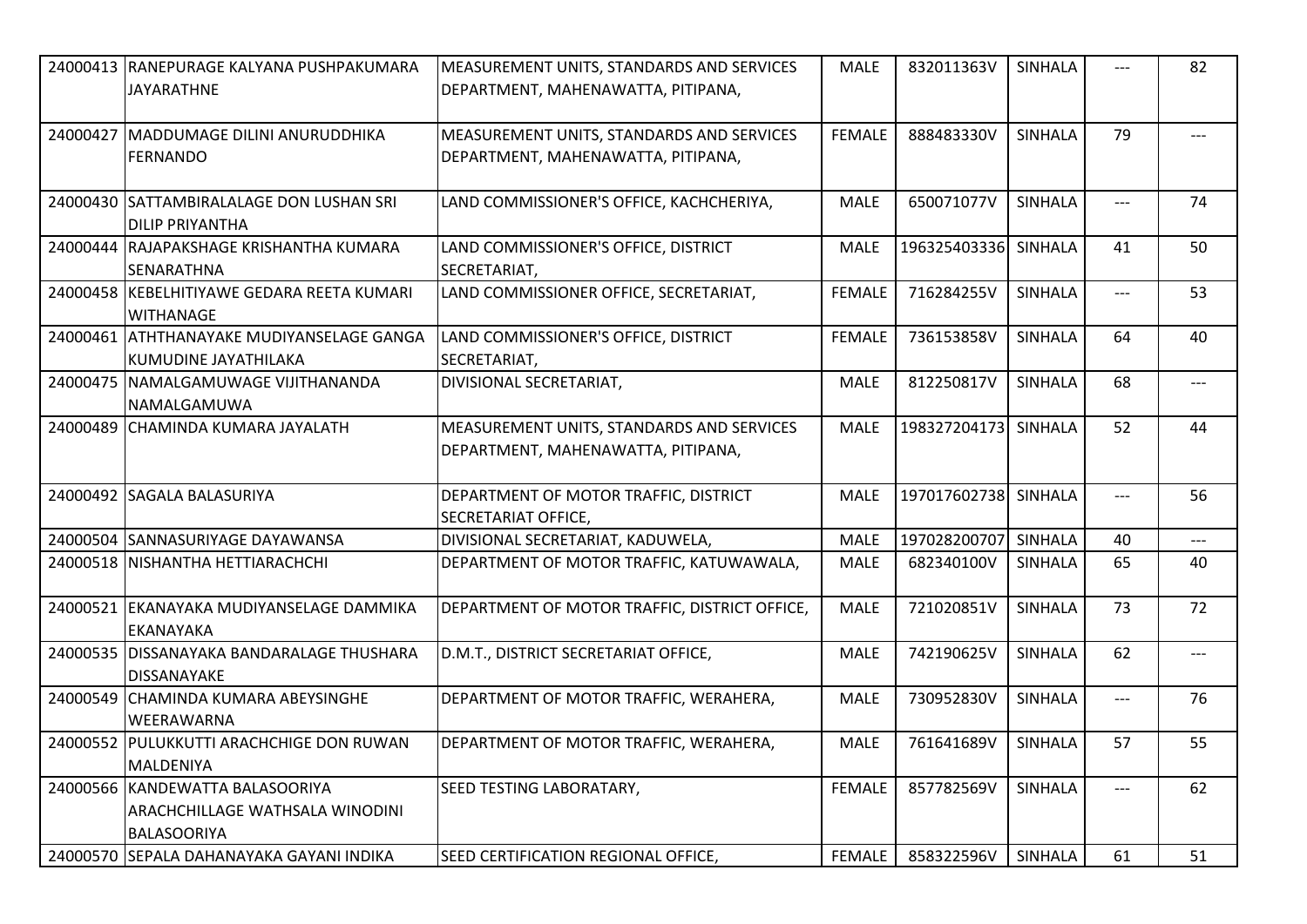| 24000413 RANEPURAGE KALYANA PUSHPAKUMARA                                                 | <b>MEASUREMENT UNITS, STANDARDS AND SERVICES</b>                                | <b>MALE</b>   | 832011363V           | SINHALA        | ---   | 82                                  |
|------------------------------------------------------------------------------------------|---------------------------------------------------------------------------------|---------------|----------------------|----------------|-------|-------------------------------------|
| <b>JAYARATHNE</b>                                                                        | DEPARTMENT, MAHENAWATTA, PITIPANA,                                              |               |                      |                |       |                                     |
| 24000427 MADDUMAGE DILINI ANURUDDHIKA<br><b>FERNANDO</b>                                 | MEASUREMENT UNITS, STANDARDS AND SERVICES<br>DEPARTMENT, MAHENAWATTA, PITIPANA, | <b>FEMALE</b> | 888483330V           | <b>SINHALA</b> | 79    | $---$                               |
| 24000430 SATTAMBIRALALAGE DON LUSHAN SRI<br><b>DILIP PRIYANTHA</b>                       | LAND COMMISSIONER'S OFFICE, KACHCHERIYA,                                        | <b>MALE</b>   | 650071077V           | <b>SINHALA</b> | $---$ | 74                                  |
| 24000444 RAJAPAKSHAGE KRISHANTHA KUMARA<br>ISENARATHNA                                   | LAND COMMISSIONER'S OFFICE, DISTRICT<br>SECRETARIAT,                            | MALE          | 196325403336 SINHALA |                | 41    | 50                                  |
| 24000458 KEBELHITIYAWE GEDARA REETA KUMARI<br><b>WITHANAGE</b>                           | LAND COMMISSIONER OFFICE, SECRETARIAT,                                          | <b>FEMALE</b> | 716284255V           | <b>SINHALA</b> | ---   | 53                                  |
| 24000461 ATHTHANAYAKE MUDIYANSELAGE GANGA<br> KUMUDINE JAYATHILAKA                       | LAND COMMISSIONER'S OFFICE, DISTRICT<br>SECRETARIAT,                            | <b>FEMALE</b> | 736153858V           | SINHALA        | 64    | 40                                  |
| 24000475   NAMALGAMUWAGE VIJITHANANDA<br>NAMALGAMUWA                                     | DIVISIONAL SECRETARIAT,                                                         | <b>MALE</b>   | 812250817V           | <b>SINHALA</b> | 68    | $---$                               |
| 24000489 CHAMINDA KUMARA JAYALATH                                                        | MEASUREMENT UNITS, STANDARDS AND SERVICES<br>DEPARTMENT, MAHENAWATTA, PITIPANA, | MALE          | 198327204173 SINHALA |                | 52    | 44                                  |
| 24000492 SAGALA BALASURIYA                                                               | DEPARTMENT OF MOTOR TRAFFIC, DISTRICT<br>SECRETARIAT OFFICE,                    | <b>MALE</b>   | 197017602738 SINHALA |                | $---$ | 56                                  |
| 24000504 SANNASURIYAGE DAYAWANSA                                                         | DIVISIONAL SECRETARIAT, KADUWELA,                                               | <b>MALE</b>   | 197028200707         | SINHALA        | 40    | $\qquad \qquad - -$                 |
| 24000518 NISHANTHA HETTIARACHCHI                                                         | DEPARTMENT OF MOTOR TRAFFIC, KATUWAWALA,                                        | <b>MALE</b>   | 682340100V           | SINHALA        | 65    | 40                                  |
| 24000521 EKANAYAKA MUDIYANSELAGE DAMMIKA<br><b>EKANAYAKA</b>                             | DEPARTMENT OF MOTOR TRAFFIC, DISTRICT OFFICE,                                   | <b>MALE</b>   | 721020851V           | <b>SINHALA</b> | 73    | 72                                  |
| 24000535   DISSANAYAKA BANDARALAGE THUSHARA<br><b>DISSANAYAKE</b>                        | D.M.T., DISTRICT SECRETARIAT OFFICE,                                            | <b>MALE</b>   | 742190625V           | SINHALA        | 62    | $\hspace{0.05cm}---\hspace{0.05cm}$ |
| 24000549 CHAMINDA KUMARA ABEYSINGHE<br><b>WEERAWARNA</b>                                 | DEPARTMENT OF MOTOR TRAFFIC, WERAHERA,                                          | <b>MALE</b>   | 730952830V           | SINHALA        | $---$ | 76                                  |
| 24000552 PULUKKUTTI ARACHCHIGE DON RUWAN<br><b>MALDENIYA</b>                             | DEPARTMENT OF MOTOR TRAFFIC, WERAHERA,                                          | MALE          | 761641689V           | SINHALA        | 57    | 55                                  |
| 24000566 KANDEWATTA BALASOORIYA<br>ARACHCHILLAGE WATHSALA WINODINI<br><b>BALASOORIYA</b> | SEED TESTING LABORATARY,                                                        | <b>FEMALE</b> | 857782569V           | SINHALA        | ---   | 62                                  |
| 24000570 SEPALA DAHANAYAKA GAYANI INDIKA                                                 | SEED CERTIFICATION REGIONAL OFFICE,                                             | <b>FEMALE</b> | 858322596V           | SINHALA        | 61    | 51                                  |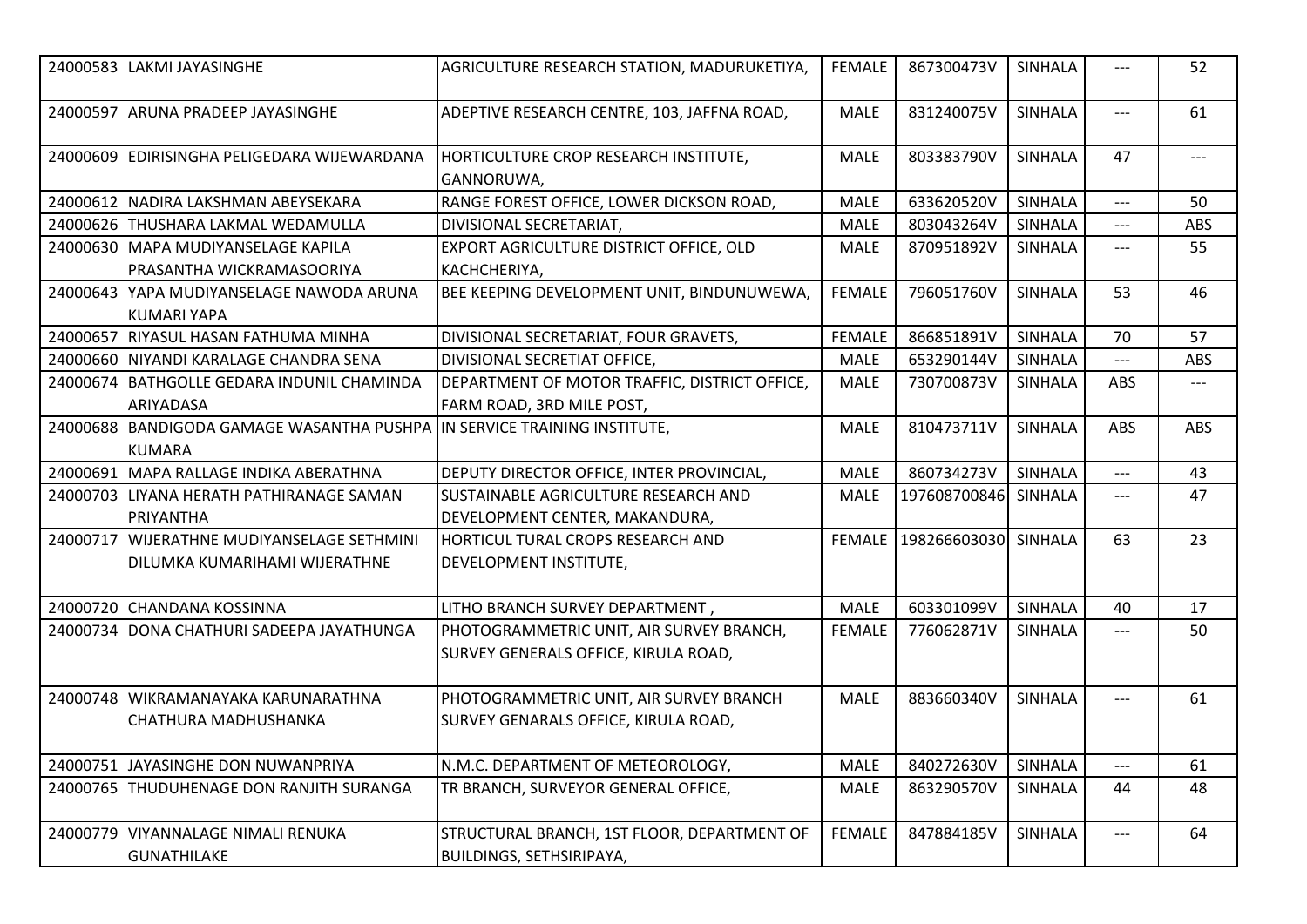|          | 24000583 LAKMI JAYASINGHE                                  | AGRICULTURE RESEARCH STATION, MADURUKETIYA,         | FEMALE        | 867300473V           | <b>SINHALA</b> | ---        | 52    |
|----------|------------------------------------------------------------|-----------------------------------------------------|---------------|----------------------|----------------|------------|-------|
|          | 24000597 ARUNA PRADEEP JAYASINGHE                          | ADEPTIVE RESEARCH CENTRE, 103, JAFFNA ROAD,         | <b>MALE</b>   | 831240075V           | <b>SINHALA</b> | $---$      | 61    |
|          | 24000609 EDIRISINGHA PELIGEDARA WIJEWARDANA                | HORTICULTURE CROP RESEARCH INSTITUTE,<br>GANNORUWA, | <b>MALE</b>   | 803383790V           | <b>SINHALA</b> | 47         | $---$ |
|          | 24000612 NADIRA LAKSHMAN ABEYSEKARA                        | RANGE FOREST OFFICE, LOWER DICKSON ROAD,            | <b>MALE</b>   | 633620520V           | <b>SINHALA</b> | ---        | 50    |
|          | 24000626 THUSHARA LAKMAL WEDAMULLA                         | DIVISIONAL SECRETARIAT,                             | <b>MALE</b>   | 803043264V           | <b>SINHALA</b> | ---        | ABS   |
|          | 24000630 MAPA MUDIYANSELAGE KAPILA                         | EXPORT AGRICULTURE DISTRICT OFFICE, OLD             | <b>MALE</b>   | 870951892V           | <b>SINHALA</b> | ---        | 55    |
|          | PRASANTHA WICKRAMASOORIYA                                  | KACHCHERIYA,                                        |               |                      |                |            |       |
|          | 24000643 YAPA MUDIYANSELAGE NAWODA ARUNA<br>KUMARI YAPA    | BEE KEEPING DEVELOPMENT UNIT, BINDUNUWEWA,          | <b>FEMALE</b> | 796051760V           | <b>SINHALA</b> | 53         | 46    |
|          | 24000657 RIYASUL HASAN FATHUMA MINHA                       | DIVISIONAL SECRETARIAT, FOUR GRAVETS,               | <b>FEMALE</b> | 866851891V           | <b>SINHALA</b> | 70         | 57    |
|          | 24000660 NIYANDI KARALAGE CHANDRA SENA                     | DIVISIONAL SECRETIAT OFFICE,                        | <b>MALE</b>   | 653290144V           | <b>SINHALA</b> | ---        | ABS   |
|          | 24000674 BATHGOLLE GEDARA INDUNIL CHAMINDA                 | DEPARTMENT OF MOTOR TRAFFIC, DISTRICT OFFICE,       | <b>MALE</b>   | 730700873V           | <b>SINHALA</b> | <b>ABS</b> | ---   |
|          | ARIYADASA                                                  | FARM ROAD, 3RD MILE POST,                           |               |                      |                |            |       |
|          | 24000688 BANDIGODA GAMAGE WASANTHA PUSHPA<br><b>KUMARA</b> | IN SERVICE TRAINING INSTITUTE,                      | <b>MALE</b>   | 810473711V           | <b>SINHALA</b> | <b>ABS</b> | ABS   |
|          | 24000691 MAPA RALLAGE INDIKA ABERATHNA                     | DEPUTY DIRECTOR OFFICE, INTER PROVINCIAL,           | <b>MALE</b>   | 860734273V           | <b>SINHALA</b> | ---        | 43    |
|          | 24000703 LIYANA HERATH PATHIRANAGE SAMAN                   | ISUSTAINABLE AGRICULTURE RESEARCH AND               | <b>MALE</b>   | 197608700846         | SINHALA        | ---        | 47    |
|          | PRIYANTHA                                                  | DEVELOPMENT CENTER, MAKANDURA,                      |               |                      |                |            |       |
| 24000717 | WIJERATHNE MUDIYANSELAGE SETHMINI                          | <b>HORTICUL TURAL CROPS RESEARCH AND</b>            | <b>FEMALE</b> | 198266603030 SINHALA |                | 63         | 23    |
|          | DILUMKA KUMARIHAMI WIJERATHNE                              | DEVELOPMENT INSTITUTE,                              |               |                      |                |            |       |
|          | 24000720 CHANDANA KOSSINNA                                 | LITHO BRANCH SURVEY DEPARTMENT,                     | MALE          | 603301099V           | SINHALA        | 40         | 17    |
|          | 24000734 DONA CHATHURI SADEEPA JAYATHUNGA                  | PHOTOGRAMMETRIC UNIT, AIR SURVEY BRANCH,            | <b>FEMALE</b> | 776062871V           | <b>SINHALA</b> | ---        | 50    |
|          |                                                            | SURVEY GENERALS OFFICE, KIRULA ROAD,                |               |                      |                |            |       |
|          | 24000748 WIKRAMANAYAKA KARUNARATHNA                        | PHOTOGRAMMETRIC UNIT, AIR SURVEY BRANCH             | <b>MALE</b>   | 883660340V           | <b>SINHALA</b> | ---        | 61    |
|          | CHATHURA MADHUSHANKA                                       | SURVEY GENARALS OFFICE, KIRULA ROAD,                |               |                      |                |            |       |
|          | 24000751 JAYASINGHE DON NUWANPRIYA                         | N.M.C. DEPARTMENT OF METEOROLOGY,                   | <b>MALE</b>   | 840272630V           | <b>SINHALA</b> | ---        | 61    |
|          | 24000765 THUDUHENAGE DON RANJITH SURANGA                   | TR BRANCH, SURVEYOR GENERAL OFFICE,                 | <b>MALE</b>   | 863290570V           | <b>SINHALA</b> | 44         | 48    |
|          |                                                            |                                                     |               |                      |                |            |       |
|          | 24000779 VIYANNALAGE NIMALI RENUKA                         | STRUCTURAL BRANCH, 1ST FLOOR, DEPARTMENT OF         | <b>FEMALE</b> | 847884185V           | <b>SINHALA</b> | ---        | 64    |
|          | <b>GUNATHILAKE</b>                                         | <b>BUILDINGS, SETHSIRIPAYA,</b>                     |               |                      |                |            |       |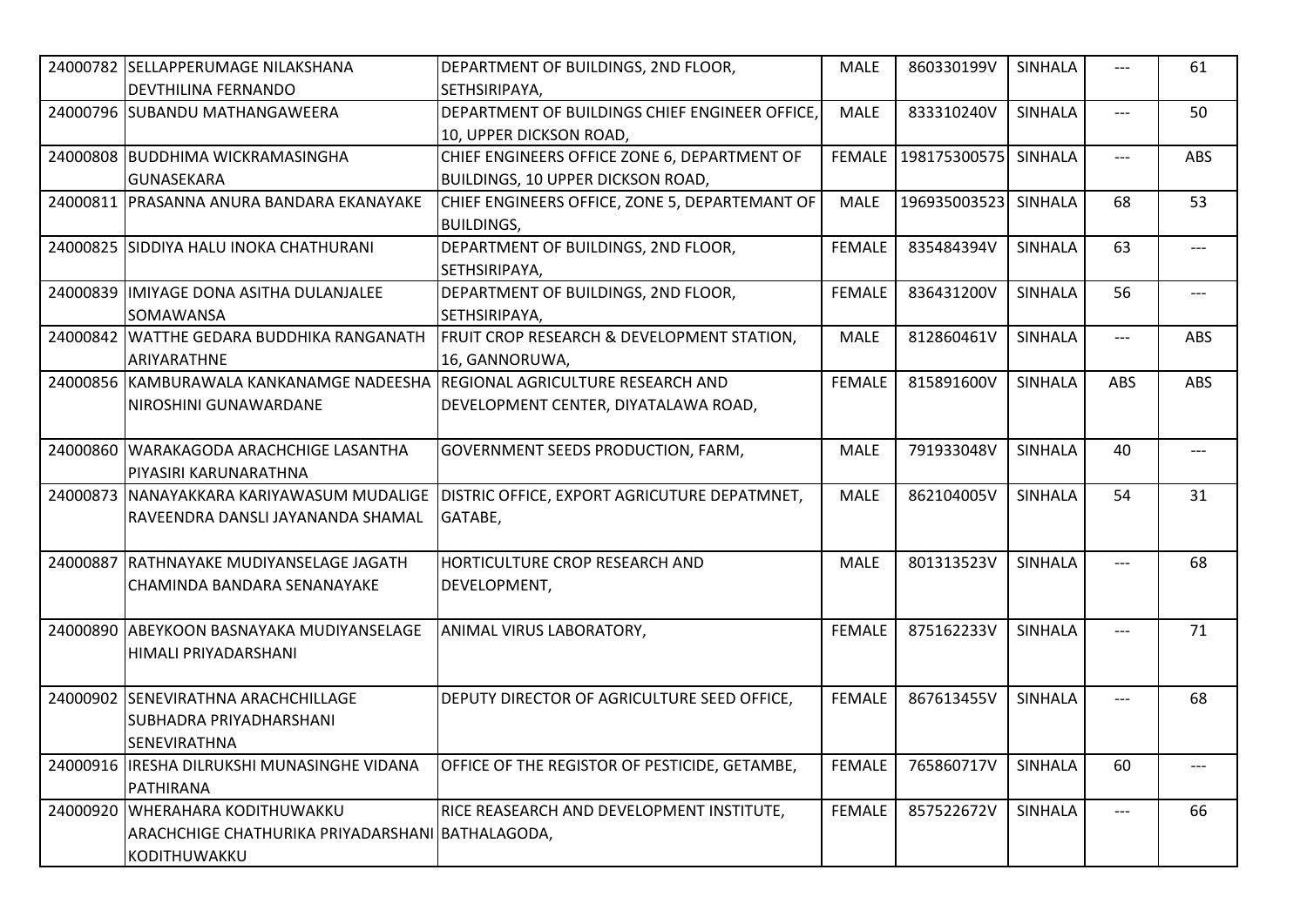|          | 24000782 SELLAPPERUMAGE NILAKSHANA<br><b>DEVTHILINA FERNANDO</b>                                  | DEPARTMENT OF BUILDINGS, 2ND FLOOR,<br>SETHSIRIPAYA,                                     | <b>MALE</b>   | 860330199V           | <b>SINHALA</b> | ---   | 61    |
|----------|---------------------------------------------------------------------------------------------------|------------------------------------------------------------------------------------------|---------------|----------------------|----------------|-------|-------|
|          | 24000796 SUBANDU MATHANGAWEERA                                                                    | DEPARTMENT OF BUILDINGS CHIEF ENGINEER OFFICE,<br>10, UPPER DICKSON ROAD,                | <b>MALE</b>   | 833310240V           | SINHALA        | ---   | 50    |
|          | 24000808 BUDDHIMA WICKRAMASINGHA<br><b>GUNASEKARA</b>                                             | CHIEF ENGINEERS OFFICE ZONE 6, DEPARTMENT OF<br><b>BUILDINGS, 10 UPPER DICKSON ROAD,</b> | <b>FEMALE</b> | 198175300575 SINHALA |                | ---   | ABS   |
|          | 24000811 PRASANNA ANURA BANDARA EKANAYAKE                                                         | CHIEF ENGINEERS OFFICE, ZONE 5, DEPARTEMANT OF<br><b>BUILDINGS,</b>                      | <b>MALE</b>   | 196935003523         | SINHALA        | 68    | 53    |
|          | 24000825 SIDDIYA HALU INOKA CHATHURANI                                                            | DEPARTMENT OF BUILDINGS, 2ND FLOOR,<br>SETHSIRIPAYA,                                     | <b>FEMALE</b> | 835484394V           | <b>SINHALA</b> | 63    | $---$ |
|          | 24000839 IMIYAGE DONA ASITHA DULANJALEE<br>SOMAWANSA                                              | DEPARTMENT OF BUILDINGS, 2ND FLOOR,<br>SETHSIRIPAYA,                                     | <b>FEMALE</b> | 836431200V           | <b>SINHALA</b> | 56    | $---$ |
|          | 24000842 WATTHE GEDARA BUDDHIKA RANGANATH<br>ARIYARATHNE                                          | FRUIT CROP RESEARCH & DEVELOPMENT STATION,<br>16, GANNORUWA,                             | <b>MALE</b>   | 812860461V           | <b>SINHALA</b> | $---$ | ABS   |
|          | 24000856 KAMBURAWALA KANKANAMGE NADEESHA<br>NIROSHINI GUNAWARDANE                                 | REGIONAL AGRICULTURE RESEARCH AND<br>DEVELOPMENT CENTER, DIYATALAWA ROAD,                | <b>FEMALE</b> | 815891600V           | <b>SINHALA</b> | ABS   | ABS   |
|          | 24000860 WARAKAGODA ARACHCHIGE LASANTHA<br>PIYASIRI KARUNARATHNA                                  | GOVERNMENT SEEDS PRODUCTION, FARM,                                                       | <b>MALE</b>   | 791933048V           | <b>SINHALA</b> | 40    | $---$ |
|          | 24000873 INANAYAKKARA KARIYAWASUM MUDALIGE<br>RAVEENDRA DANSLI JAYANANDA SHAMAL                   | DISTRIC OFFICE, EXPORT AGRICUTURE DEPATMNET,<br>GATABE,                                  | <b>MALE</b>   | 862104005V           | <b>SINHALA</b> | 54    | 31    |
| 24000887 | RATHNAYAKE MUDIYANSELAGE JAGATH<br>CHAMINDA BANDARA SENANAYAKE                                    | HORTICULTURE CROP RESEARCH AND<br>DEVELOPMENT,                                           | <b>MALE</b>   | 801313523V           | <b>SINHALA</b> | ---   | 68    |
|          | 24000890 ABEYKOON BASNAYAKA MUDIYANSELAGE<br>HIMALI PRIYADARSHANI                                 | ANIMAL VIRUS LABORATORY,                                                                 | <b>FEMALE</b> | 875162233V           | <b>SINHALA</b> | ---   | 71    |
|          | 24000902 SENEVIRATHNA ARACHCHILLAGE<br><b>SUBHADRA PRIYADHARSHANI</b><br>SENEVIRATHNA             | DEPUTY DIRECTOR OF AGRICULTURE SEED OFFICE,                                              | <b>FEMALE</b> | 867613455V           | <b>SINHALA</b> | $---$ | 68    |
|          | 24000916 IRESHA DILRUKSHI MUNASINGHE VIDANA<br>PATHIRANA                                          | OFFICE OF THE REGISTOR OF PESTICIDE, GETAMBE,                                            | <b>FEMALE</b> | 765860717V           | <b>SINHALA</b> | 60    | ---   |
| 24000920 | <b>WHERAHARA KODITHUWAKKU</b><br>ARACHCHIGE CHATHURIKA PRIYADARSHANI BATHALAGODA,<br>KODITHUWAKKU | RICE REASEARCH AND DEVELOPMENT INSTITUTE,                                                | <b>FEMALE</b> | 857522672V           | <b>SINHALA</b> | ---   | 66    |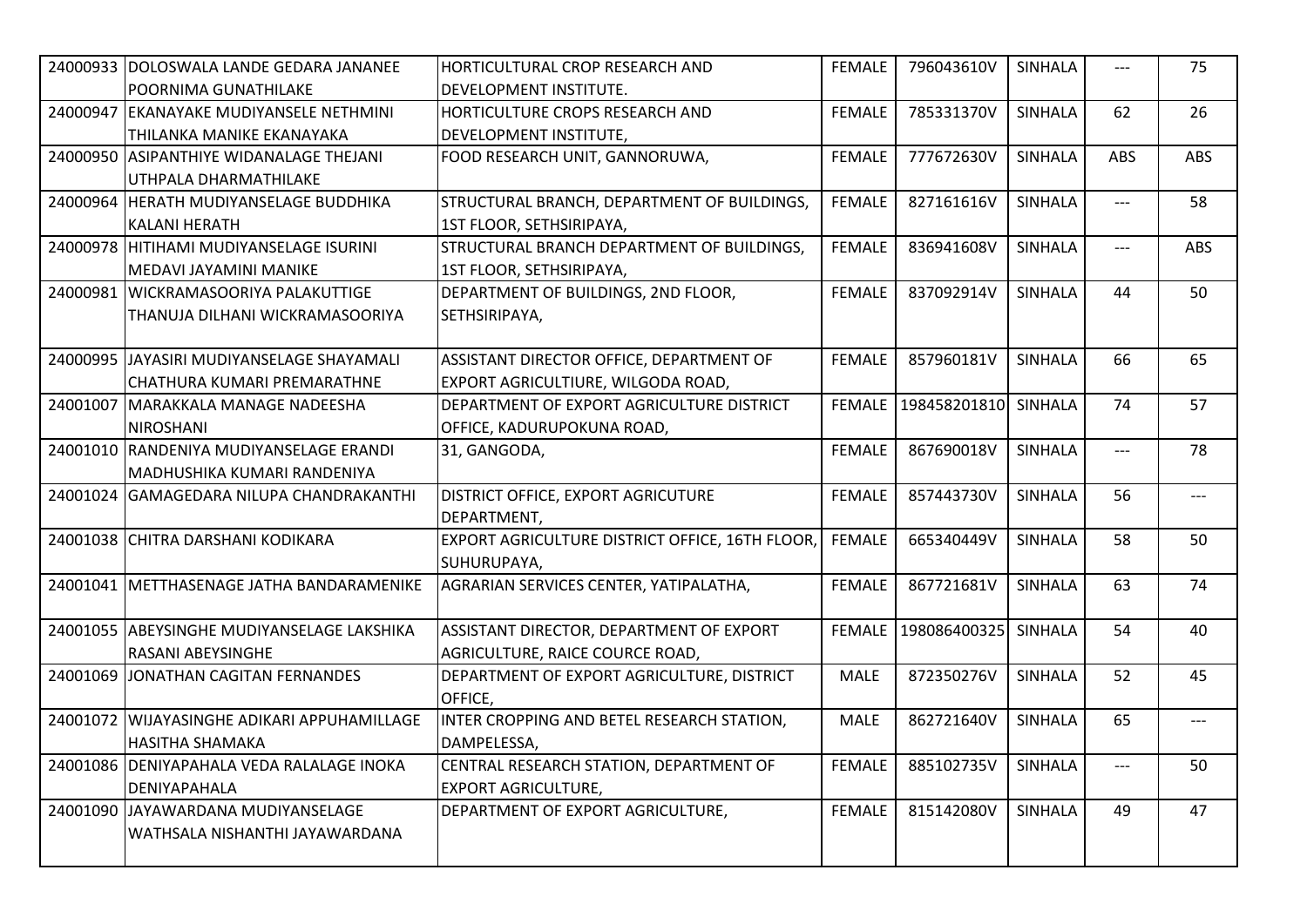|          | 24000933 DOLOSWALA LANDE GEDARA JANANEE     | HORTICULTURAL CROP RESEARCH AND                 | <b>FEMALE</b> | 796043610V                  | <b>SINHALA</b> | $---$ | 75    |
|----------|---------------------------------------------|-------------------------------------------------|---------------|-----------------------------|----------------|-------|-------|
|          | POORNIMA GUNATHILAKE                        | IDEVELOPMENT INSTITUTE.                         |               |                             |                |       |       |
| 24000947 | <b>EKANAYAKE MUDIYANSELE NETHMINI</b>       | HORTICULTURE CROPS RESEARCH AND                 | <b>FEMALE</b> | 785331370V                  | <b>SINHALA</b> | 62    | 26    |
|          | THILANKA MANIKE EKANAYAKA                   | DEVELOPMENT INSTITUTE,                          |               |                             |                |       |       |
|          | 24000950 ASIPANTHIYE WIDANALAGE THEJANI     | FOOD RESEARCH UNIT, GANNORUWA,                  | <b>FEMALE</b> | 777672630V                  | <b>SINHALA</b> | ABS   | ABS   |
|          | UTHPALA DHARMATHILAKE                       |                                                 |               |                             |                |       |       |
|          | 24000964 HERATH MUDIYANSELAGE BUDDHIKA      | STRUCTURAL BRANCH, DEPARTMENT OF BUILDINGS,     | <b>FEMALE</b> | 827161616V                  | SINHALA        | $---$ | 58    |
|          | <b>KALANI HERATH</b>                        | 1ST FLOOR, SETHSIRIPAYA,                        |               |                             |                |       |       |
|          | 24000978 HITIHAMI MUDIYANSELAGE ISURINI     | STRUCTURAL BRANCH DEPARTMENT OF BUILDINGS,      | <b>FEMALE</b> | 836941608V                  | <b>SINHALA</b> | $---$ | ABS   |
|          | MEDAVI JAYAMINI MANIKE                      | 1ST FLOOR, SETHSIRIPAYA,                        |               |                             |                |       |       |
| 24000981 | <b>WICKRAMASOORIYA PALAKUTTIGE</b>          | DEPARTMENT OF BUILDINGS, 2ND FLOOR,             | <b>FEMALE</b> | 837092914V                  | <b>SINHALA</b> | 44    | 50    |
|          | THANUJA DILHANI WICKRAMASOORIYA             | SETHSIRIPAYA,                                   |               |                             |                |       |       |
|          |                                             |                                                 |               |                             |                |       |       |
|          | 24000995 JJAYASIRI MUDIYANSELAGE SHAYAMALI  | ASSISTANT DIRECTOR OFFICE, DEPARTMENT OF        | <b>FEMALE</b> | 857960181V                  | SINHALA        | 66    | 65    |
|          | CHATHURA KUMARI PREMARATHNE                 | EXPORT AGRICULTIURE, WILGODA ROAD,              |               |                             |                |       |       |
|          | 24001007 MARAKKALA MANAGE NADEESHA          | DEPARTMENT OF EXPORT AGRICULTURE DISTRICT       |               | FEMALE 198458201810 SINHALA |                | 74    | 57    |
|          | <b>NIROSHANI</b>                            | OFFICE, KADURUPOKUNA ROAD,                      |               |                             |                |       |       |
|          | 24001010 RANDENIYA MUDIYANSELAGE ERANDI     | 31, GANGODA,                                    | <b>FEMALE</b> | 867690018V                  | <b>SINHALA</b> | $---$ | 78    |
|          | MADHUSHIKA KUMARI RANDENIYA                 |                                                 |               |                             |                |       |       |
|          | 24001024 GAMAGEDARA NILUPA CHANDRAKANTHI    | DISTRICT OFFICE, EXPORT AGRICUTURE              | <b>FEMALE</b> | 857443730V                  | <b>SINHALA</b> | 56    | $---$ |
|          |                                             | DEPARTMENT,                                     |               |                             |                |       |       |
|          | 24001038 CHITRA DARSHANI KODIKARA           | EXPORT AGRICULTURE DISTRICT OFFICE, 16TH FLOOR, | <b>FEMALE</b> | 665340449V                  | <b>SINHALA</b> | 58    | 50    |
|          |                                             | SUHURUPAYA,                                     |               |                             |                |       |       |
|          | 24001041 METTHASENAGE JATHA BANDARAMENIKE   | AGRARIAN SERVICES CENTER, YATIPALATHA,          | <b>FEMALE</b> | 867721681V                  | <b>SINHALA</b> | 63    | 74    |
|          |                                             |                                                 |               |                             |                |       |       |
|          | 24001055 ABEYSINGHE MUDIYANSELAGE LAKSHIKA  | ASSISTANT DIRECTOR, DEPARTMENT OF EXPORT        |               | FEMALE 198086400325 SINHALA |                | 54    | 40    |
|          | RASANI ABEYSINGHE                           | AGRICULTURE, RAICE COURCE ROAD,                 |               |                             |                |       |       |
|          | 24001069 JONATHAN CAGITAN FERNANDES         | DEPARTMENT OF EXPORT AGRICULTURE, DISTRICT      | <b>MALE</b>   | 872350276V                  | SINHALA        | 52    | 45    |
|          |                                             | OFFICE,                                         |               |                             |                |       |       |
|          | 24001072 WIJAYASINGHE ADIKARI APPUHAMILLAGE | INTER CROPPING AND BETEL RESEARCH STATION,      | <b>MALE</b>   | 862721640V                  | <b>SINHALA</b> | 65    | $---$ |
|          | HASITHA SHAMAKA                             | DAMPELESSA,                                     |               |                             |                |       |       |
|          | 24001086 DENIYAPAHALA VEDA RALALAGE INOKA   | CENTRAL RESEARCH STATION, DEPARTMENT OF         | <b>FEMALE</b> | 885102735V                  | SINHALA        | $---$ | 50    |
|          | DENIYAPAHALA                                | <b>EXPORT AGRICULTURE,</b>                      |               |                             |                |       |       |
|          | 24001090 JJAYAWARDANA MUDIYANSELAGE         | DEPARTMENT OF EXPORT AGRICULTURE,               | <b>FEMALE</b> | 815142080V                  | <b>SINHALA</b> | 49    | 47    |
|          | WATHSALA NISHANTHI JAYAWARDANA              |                                                 |               |                             |                |       |       |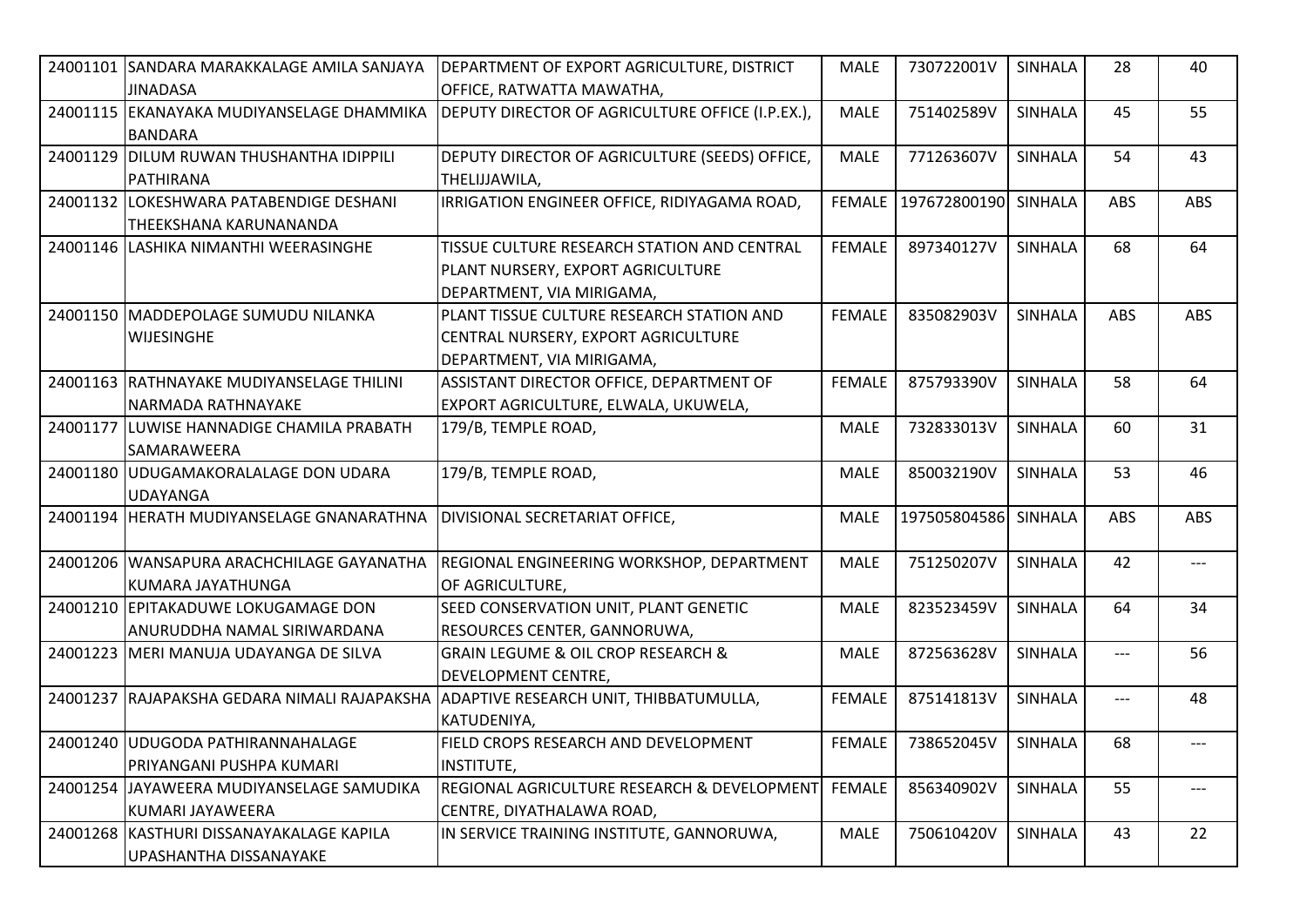| 24001101 SANDARA MARAKKALAGE AMILA SANJAYA<br><b>JINADASA</b>      | DEPARTMENT OF EXPORT AGRICULTURE, DISTRICT<br>OFFICE, RATWATTA MAWATHA,                                       | <b>MALE</b>   | 730722001V                    | <b>SINHALA</b> | 28    | 40         |
|--------------------------------------------------------------------|---------------------------------------------------------------------------------------------------------------|---------------|-------------------------------|----------------|-------|------------|
| 24001115 EKANAYAKA MUDIYANSELAGE DHAMMIKA<br><b>BANDARA</b>        | DEPUTY DIRECTOR OF AGRICULTURE OFFICE (I.P.EX.),                                                              | <b>MALE</b>   | 751402589V                    | <b>SINHALA</b> | 45    | 55         |
| 24001129 DILUM RUWAN THUSHANTHA IDIPPILI<br>PATHIRANA              | DEPUTY DIRECTOR OF AGRICULTURE (SEEDS) OFFICE,<br>THELIJJAWILA,                                               | <b>MALE</b>   | 771263607V                    | <b>SINHALA</b> | 54    | 43         |
| 24001132 LOKESHWARA PATABENDIGE DESHANI<br>THEEKSHANA KARUNANANDA  | IRRIGATION ENGINEER OFFICE, RIDIYAGAMA ROAD,                                                                  | <b>FEMALE</b> | 197672800190                  | SINHALA        | ABS   | ABS        |
| 24001146 LASHIKA NIMANTHI WEERASINGHE                              | TISSUE CULTURE RESEARCH STATION AND CENTRAL<br>PLANT NURSERY, EXPORT AGRICULTURE<br>DEPARTMENT, VIA MIRIGAMA, | <b>FEMALE</b> | 897340127V                    | <b>SINHALA</b> | 68    | 64         |
| 24001150 MADDEPOLAGE SUMUDU NILANKA<br><b>WIJESINGHE</b>           | PLANT TISSUE CULTURE RESEARCH STATION AND<br>CENTRAL NURSERY, EXPORT AGRICULTURE<br>DEPARTMENT, VIA MIRIGAMA, | <b>FEMALE</b> | 835082903V                    | <b>SINHALA</b> | ABS   | <b>ABS</b> |
| 24001163 RATHNAYAKE MUDIYANSELAGE THILINI<br>NARMADA RATHNAYAKE    | ASSISTANT DIRECTOR OFFICE, DEPARTMENT OF<br>EXPORT AGRICULTURE, ELWALA, UKUWELA,                              | <b>FEMALE</b> | 875793390V                    | <b>SINHALA</b> | 58    | 64         |
| 24001177 LUWISE HANNADIGE CHAMILA PRABATH<br><b>SAMARAWEERA</b>    | 179/B, TEMPLE ROAD,                                                                                           | <b>MALE</b>   | 732833013V                    | <b>SINHALA</b> | 60    | 31         |
| 24001180 UDUGAMAKORALALAGE DON UDARA<br><b>UDAYANGA</b>            | 179/B, TEMPLE ROAD,                                                                                           | <b>MALE</b>   | 850032190V                    | <b>SINHALA</b> | 53    | 46         |
| 24001194 HERATH MUDIYANSELAGE GNANARATHNA                          | DIVISIONAL SECRETARIAT OFFICE,                                                                                | <b>MALE</b>   | 197505804586                  | SINHALA        | ABS   | ABS        |
| 24001206 WANSAPURA ARACHCHILAGE GAYANATHA<br>KUMARA JAYATHUNGA     | REGIONAL ENGINEERING WORKSHOP, DEPARTMENT<br>OF AGRICULTURE,                                                  | <b>MALE</b>   | 751250207V                    | <b>SINHALA</b> | 42    | $---$      |
| 24001210 EPITAKADUWE LOKUGAMAGE DON<br>ANURUDDHA NAMAL SIRIWARDANA | SEED CONSERVATION UNIT, PLANT GENETIC<br>RESOURCES CENTER, GANNORUWA,                                         | <b>MALE</b>   | 823523459V                    | SINHALA        | 64    | 34         |
| 24001223 MERI MANUJA UDAYANGA DE SILVA                             | <b>GRAIN LEGUME &amp; OIL CROP RESEARCH &amp;</b><br><b>DEVELOPMENT CENTRE,</b>                               | <b>MALE</b>   | 872563628V                    | <b>SINHALA</b> | $---$ | 56         |
|                                                                    | 24001237 RAJAPAKSHA GEDARA NIMALI RAJAPAKSHA ADAPTIVE RESEARCH UNIT, THIBBATUMULLA,<br>KATUDENIYA,            | <b>FEMALE</b> | 875141813V                    | <b>SINHALA</b> | $---$ | 48         |
| 24001240 UDUGODA PATHIRANNAHALAGE<br>PRIYANGANI PUSHPA KUMARI      | FIELD CROPS RESEARCH AND DEVELOPMENT<br><b>INSTITUTE,</b>                                                     |               | FEMALE   738652045V   SINHALA |                | 68    |            |
| 24001254 JJAYAWEERA MUDIYANSELAGE SAMUDIKA<br>KUMARI JAYAWEERA     | REGIONAL AGRICULTURE RESEARCH & DEVELOPMENT<br>CENTRE, DIYATHALAWA ROAD,                                      | <b>FEMALE</b> | 856340902V                    | SINHALA        | 55    | ---        |
| 24001268 KASTHURI DISSANAYAKALAGE KAPILA<br>UPASHANTHA DISSANAYAKE | IN SERVICE TRAINING INSTITUTE, GANNORUWA,                                                                     | <b>MALE</b>   | 750610420V                    | SINHALA        | 43    | 22         |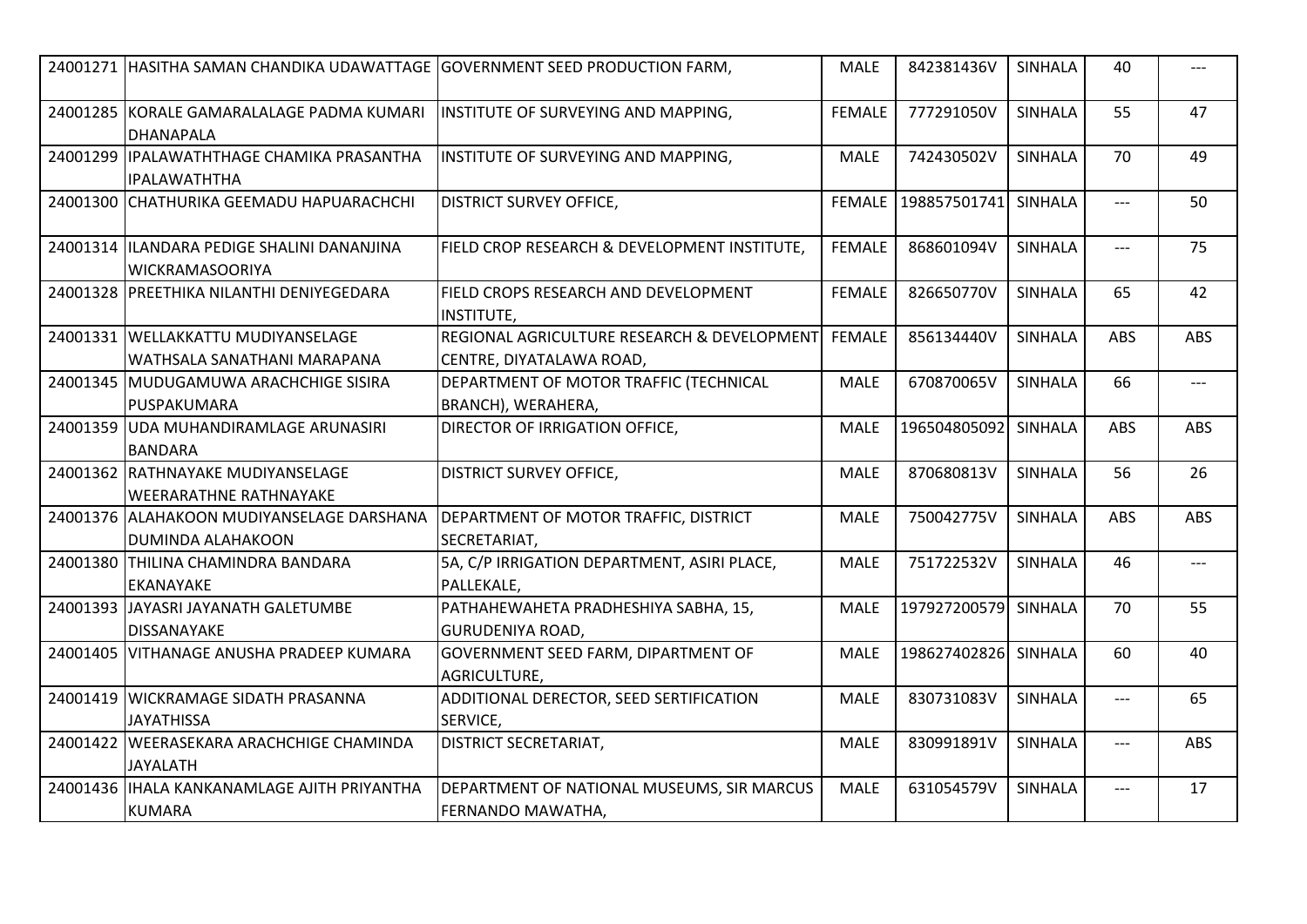| 24001271 HASITHA SAMAN CHANDIKA UDAWATTAGE GOVERNMENT SEED PRODUCTION FARM, |                                                                         | <b>MALE</b>   | 842381436V           | SINHALA        | 40    | ---        |
|-----------------------------------------------------------------------------|-------------------------------------------------------------------------|---------------|----------------------|----------------|-------|------------|
| 24001285 KORALE GAMARALALAGE PADMA KUMARI<br><b>DHANAPALA</b>               | INSTITUTE OF SURVEYING AND MAPPING,                                     | <b>FEMALE</b> | 777291050V           | <b>SINHALA</b> | 55    | 47         |
| 24001299   IPALAWATHTHAGE CHAMIKA PRASANTHA<br>IIPALAWATHTHA                | INSTITUTE OF SURVEYING AND MAPPING,                                     | <b>MALE</b>   | 742430502V           | <b>SINHALA</b> | 70    | 49         |
| 24001300 CHATHURIKA GEEMADU HAPUARACHCHI                                    | <b>DISTRICT SURVEY OFFICE,</b>                                          |               | FEMALE 198857501741  | SINHALA        | $---$ | 50         |
| 24001314  ILANDARA PEDIGE SHALINI DANANJINA<br><b>WICKRAMASOORIYA</b>       | FIELD CROP RESEARCH & DEVELOPMENT INSTITUTE,                            | <b>FEMALE</b> | 868601094V           | <b>SINHALA</b> | $---$ | 75         |
| 24001328 PREETHIKA NILANTHI DENIYEGEDARA                                    | FIELD CROPS RESEARCH AND DEVELOPMENT<br><b>INSTITUTE,</b>               | <b>FEMALE</b> | 826650770V           | <b>SINHALA</b> | 65    | 42         |
| 24001331   WELLAKKATTU MUDIYANSELAGE<br>WATHSALA SANATHANI MARAPANA         | REGIONAL AGRICULTURE RESEARCH & DEVELOPMENT<br>CENTRE, DIYATALAWA ROAD, | <b>FEMALE</b> | 856134440V           | <b>SINHALA</b> | ABS   | ABS        |
| 24001345 MUDUGAMUWA ARACHCHIGE SISIRA<br>IPUSPAKUMARA                       | DEPARTMENT OF MOTOR TRAFFIC (TECHNICAL<br>BRANCH), WERAHERA,            | <b>MALE</b>   | 670870065V           | <b>SINHALA</b> | 66    | ---        |
| 24001359 UDA MUHANDIRAMLAGE ARUNASIRI<br><b>BANDARA</b>                     | <b>DIRECTOR OF IRRIGATION OFFICE,</b>                                   | <b>MALE</b>   | 196504805092         | SINHALA        | ABS   | <b>ABS</b> |
| 24001362 RATHNAYAKE MUDIYANSELAGE<br><b>WEERARATHNE RATHNAYAKE</b>          | <b>DISTRICT SURVEY OFFICE,</b>                                          | <b>MALE</b>   | 870680813V           | <b>SINHALA</b> | 56    | 26         |
| 24001376 ALAHAKOON MUDIYANSELAGE DARSHANA<br><b>DUMINDA ALAHAKOON</b>       | DEPARTMENT OF MOTOR TRAFFIC, DISTRICT<br>SECRETARIAT,                   | <b>MALE</b>   | 750042775V           | <b>SINHALA</b> | ABS   | ABS        |
| 24001380 THILINA CHAMINDRA BANDARA<br><b>EKANAYAKE</b>                      | 5A, C/P IRRIGATION DEPARTMENT, ASIRI PLACE,<br>PALLEKALE,               | <b>MALE</b>   | 751722532V           | <b>SINHALA</b> | 46    | $---$      |
| 24001393 JAYASRI JAYANATH GALETUMBE<br><b>DISSANAYAKE</b>                   | PATHAHEWAHETA PRADHESHIYA SABHA, 15,<br><b>GURUDENIYA ROAD,</b>         | <b>MALE</b>   | 197927200579         | <b>SINHALA</b> | 70    | 55         |
| 24001405 VITHANAGE ANUSHA PRADEEP KUMARA                                    | GOVERNMENT SEED FARM, DIPARTMENT OF<br>AGRICULTURE,                     | <b>MALE</b>   | 198627402826 SINHALA |                | 60    | 40         |
| 24001419 WICKRAMAGE SIDATH PRASANNA<br><b>JAYATHISSA</b>                    | ADDITIONAL DERECTOR, SEED SERTIFICATION<br>SERVICE,                     | <b>MALE</b>   | 830731083V           | <b>SINHALA</b> | $---$ | 65         |
| 24001422 WEERASEKARA ARACHCHIGE CHAMINDA<br>JAYALATH                        | <b>DISTRICT SECRETARIAT,</b>                                            | <b>MALE</b>   | 830991891V           | <b>SINHALA</b> | $---$ | ABS        |
| 24001436   IHALA KANKANAMLAGE AJITH PRIYANTHA<br><b>KUMARA</b>              | DEPARTMENT OF NATIONAL MUSEUMS, SIR MARCUS<br>FERNANDO MAWATHA,         | <b>MALE</b>   | 631054579V           | <b>SINHALA</b> | ---   | 17         |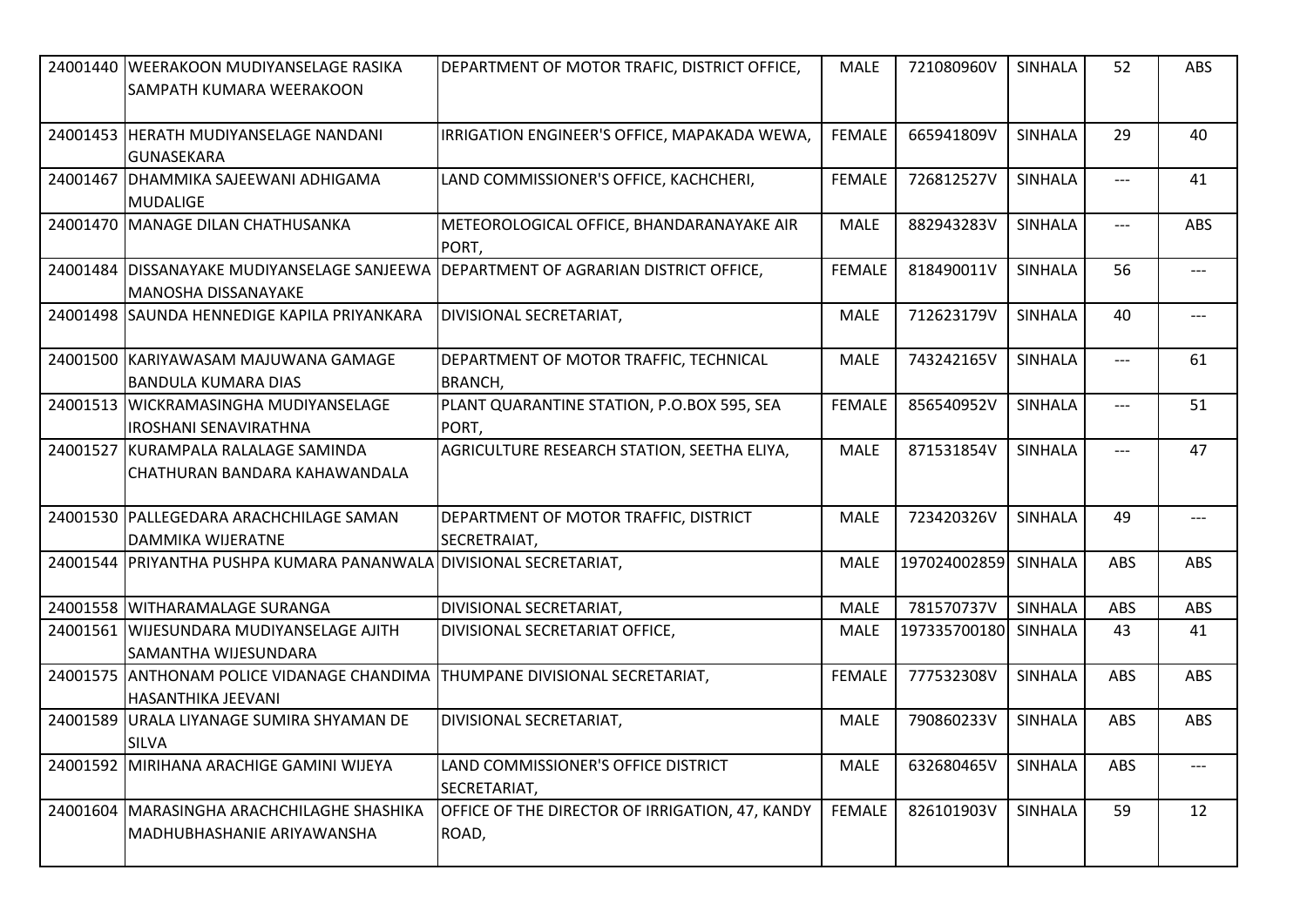| 24001440 WEERAKOON MUDIYANSELAGE RASIKA<br>SAMPATH KUMARA WEERAKOON         | DEPARTMENT OF MOTOR TRAFIC, DISTRICT OFFICE,             | <b>MALE</b>   | 721080960V           | SINHALA        | 52                   | ABS        |
|-----------------------------------------------------------------------------|----------------------------------------------------------|---------------|----------------------|----------------|----------------------|------------|
| 24001453 HERATH MUDIYANSELAGE NANDANI<br><b>GUNASEKARA</b>                  | IRRIGATION ENGINEER'S OFFICE, MAPAKADA WEWA,             | <b>FEMALE</b> | 665941809V           | <b>SINHALA</b> | 29                   | 40         |
| 24001467 DHAMMIKA SAJEEWANI ADHIGAMA<br>MUDALIGE                            | LAND COMMISSIONER'S OFFICE, KACHCHERI,                   | <b>FEMALE</b> | 726812527V           | SINHALA        | $---$                | 41         |
| 24001470 MANAGE DILAN CHATHUSANKA                                           | METEOROLOGICAL OFFICE, BHANDARANAYAKE AIR<br>PORT,       | <b>MALE</b>   | 882943283V           | <b>SINHALA</b> | $\hspace{0.05cm}---$ | <b>ABS</b> |
| 24001484   DISSANAYAKE MUDIYANSELAGE SANJEEWA<br><b>MANOSHA DISSANAYAKE</b> | DEPARTMENT OF AGRARIAN DISTRICT OFFICE,                  | <b>FEMALE</b> | 818490011V           | <b>SINHALA</b> | 56                   | $---$      |
| 24001498 SAUNDA HENNEDIGE KAPILA PRIYANKARA                                 | DIVISIONAL SECRETARIAT,                                  | <b>MALE</b>   | 712623179V           | SINHALA        | 40                   | ---        |
| 24001500 KARIYAWASAM MAJUWANA GAMAGE<br><b>BANDULA KUMARA DIAS</b>          | DEPARTMENT OF MOTOR TRAFFIC, TECHNICAL<br><b>BRANCH,</b> | <b>MALE</b>   | 743242165V           | SINHALA        | $---$                | 61         |
| 24001513 WICKRAMASINGHA MUDIYANSELAGE<br><b>IROSHANI SENAVIRATHNA</b>       | PLANT QUARANTINE STATION, P.O.BOX 595, SEA<br>PORT,      | <b>FEMALE</b> | 856540952V           | SINHALA        | $---$                | 51         |
| 24001527 KURAMPALA RALALAGE SAMINDA<br>CHATHURAN BANDARA KAHAWANDALA        | AGRICULTURE RESEARCH STATION, SEETHA ELIYA,              | <b>MALE</b>   | 871531854V           | <b>SINHALA</b> | $\hspace{0.05cm}---$ | 47         |
| 24001530 PALLEGEDARA ARACHCHILAGE SAMAN<br>DAMMIKA WIJERATNE                | DEPARTMENT OF MOTOR TRAFFIC, DISTRICT<br>SECRETRAIAT,    | <b>MALE</b>   | 723420326V           | SINHALA        | 49                   | $---$      |
| 24001544 PRIYANTHA PUSHPA KUMARA PANANWALA DIVISIONAL SECRETARIAT,          |                                                          | <b>MALE</b>   | 197024002859 SINHALA |                | ABS                  | ABS        |
| 24001558 WITHARAMALAGE SURANGA                                              | DIVISIONAL SECRETARIAT,                                  | <b>MALE</b>   | 781570737V           | <b>SINHALA</b> | ABS                  | ABS        |
| 24001561 WIJESUNDARA MUDIYANSELAGE AJITH<br>SAMANTHA WIJESUNDARA            | DIVISIONAL SECRETARIAT OFFICE,                           | <b>MALE</b>   | 197335700180 SINHALA |                | 43                   | 41         |
| 24001575 ANTHONAM POLICE VIDANAGE CHANDIMA<br>HASANTHIKA JEEVANI            | THUMPANE DIVISIONAL SECRETARIAT,                         | <b>FEMALE</b> | 777532308V           | SINHALA        | ABS                  | ABS        |
| 24001589 URALA LIYANAGE SUMIRA SHYAMAN DE<br><b>SILVA</b>                   | DIVISIONAL SECRETARIAT,                                  | <b>MALE</b>   | 790860233V           | SINHALA        | ABS                  | ABS        |
| 24001592 MIRIHANA ARACHIGE GAMINI WIJEYA                                    | LAND COMMISSIONER'S OFFICE DISTRICT<br>SECRETARIAT,      | <b>MALE</b>   | 632680465V           | SINHALA        | ABS                  | $---$      |
| 24001604   MARASINGHA ARACHCHILAGHE SHASHIKA<br>MADHUBHASHANIE ARIYAWANSHA  | OFFICE OF THE DIRECTOR OF IRRIGATION, 47, KANDY<br>ROAD, | <b>FEMALE</b> | 826101903V           | <b>SINHALA</b> | 59                   | 12         |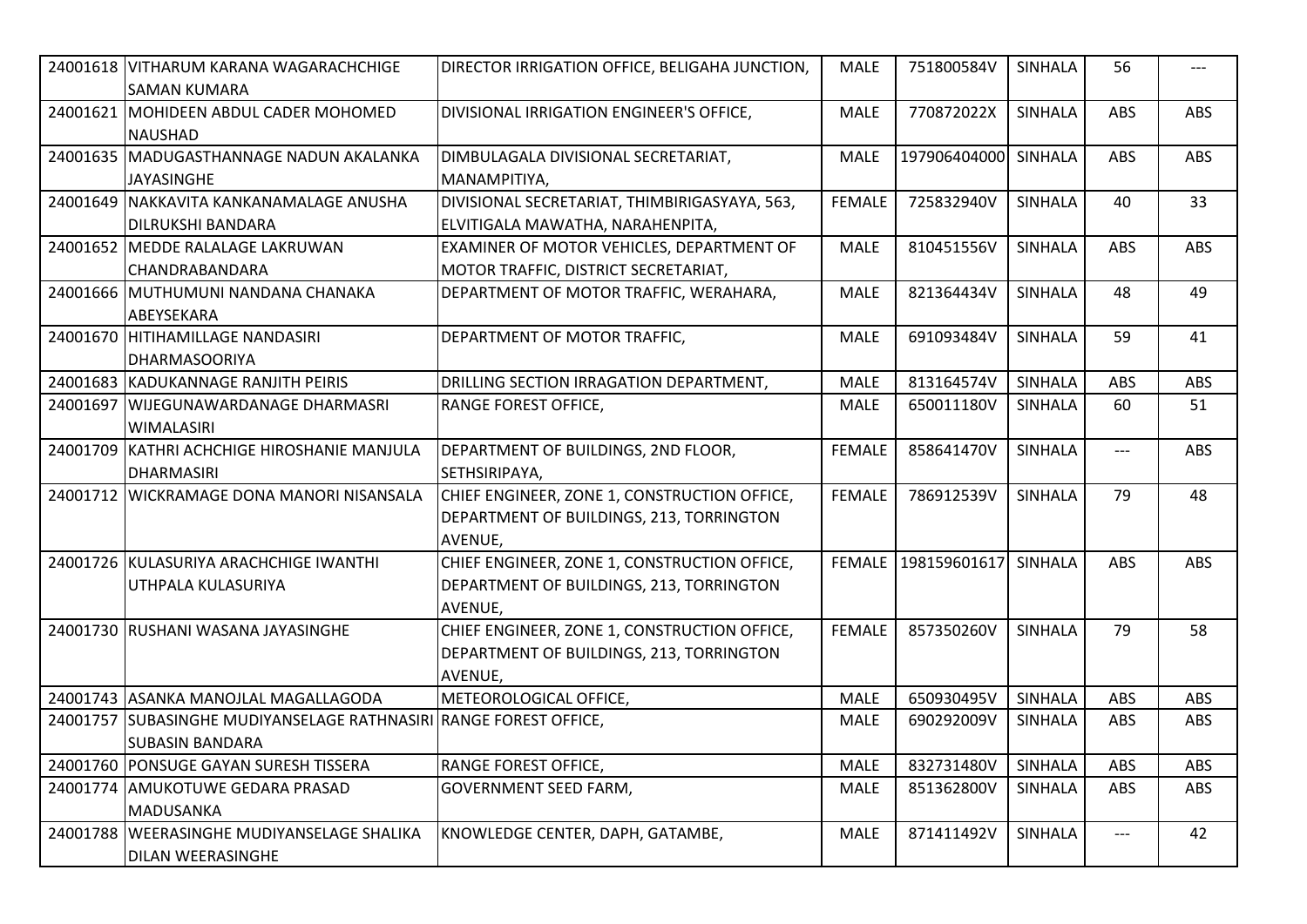| 24001618 VITHARUM KARANA WAGARACHCHIGE<br><b>SAMAN KUMARA</b>                               | DIRECTOR IRRIGATION OFFICE, BELIGAHA JUNCTION,                                                      | MALE          | 751800584V           | <b>SINHALA</b> | 56                                  |            |
|---------------------------------------------------------------------------------------------|-----------------------------------------------------------------------------------------------------|---------------|----------------------|----------------|-------------------------------------|------------|
| 24001621 MOHIDEEN ABDUL CADER MOHOMED<br><b>NAUSHAD</b>                                     | DIVISIONAL IRRIGATION ENGINEER'S OFFICE,                                                            | <b>MALE</b>   | 770872022X           | <b>SINHALA</b> | ABS                                 | ABS        |
| 24001635 MADUGASTHANNAGE NADUN AKALANKA<br><b>JAYASINGHE</b>                                | DIMBULAGALA DIVISIONAL SECRETARIAT,<br>MANAMPITIYA,                                                 | <b>MALE</b>   | 197906404000 SINHALA |                | ABS                                 | <b>ABS</b> |
| 24001649 NAKKAVITA KANKANAMALAGE ANUSHA<br><b>DILRUKSHI BANDARA</b>                         | DIVISIONAL SECRETARIAT, THIMBIRIGASYAYA, 563,<br>ELVITIGALA MAWATHA, NARAHENPITA,                   | <b>FEMALE</b> | 725832940V           | <b>SINHALA</b> | 40                                  | 33         |
| 24001652 MEDDE RALALAGE LAKRUWAN<br><b>CHANDRABANDARA</b>                                   | EXAMINER OF MOTOR VEHICLES, DEPARTMENT OF<br>MOTOR TRAFFIC, DISTRICT SECRETARIAT,                   | <b>MALE</b>   | 810451556V           | <b>SINHALA</b> | ABS                                 | <b>ABS</b> |
| 24001666 MUTHUMUNI NANDANA CHANAKA<br>ABEYSEKARA                                            | DEPARTMENT OF MOTOR TRAFFIC, WERAHARA,                                                              | <b>MALE</b>   | 821364434V           | <b>SINHALA</b> | 48                                  | 49         |
| 24001670   HITIHAMILLAGE NANDASIRI<br><b>DHARMASOORIYA</b>                                  | DEPARTMENT OF MOTOR TRAFFIC,                                                                        | <b>MALE</b>   | 691093484V           | <b>SINHALA</b> | 59                                  | 41         |
| 24001683 KADUKANNAGE RANJITH PEIRIS                                                         | DRILLING SECTION IRRAGATION DEPARTMENT,                                                             | <b>MALE</b>   | 813164574V           | <b>SINHALA</b> | ABS                                 | ABS        |
| 24001697 WIJEGUNAWARDANAGE DHARMASRI<br><b>WIMALASIRI</b>                                   | <b>RANGE FOREST OFFICE,</b>                                                                         | <b>MALE</b>   | 650011180V           | <b>SINHALA</b> | 60                                  | 51         |
| 24001709 KATHRI ACHCHIGE HIROSHANIE MANJULA<br><b>DHARMASIRI</b>                            | DEPARTMENT OF BUILDINGS, 2ND FLOOR,<br>SETHSIRIPAYA,                                                | <b>FEMALE</b> | 858641470V           | <b>SINHALA</b> | $\qquad \qquad - -$                 | <b>ABS</b> |
| 24001712 WICKRAMAGE DONA MANORI NISANSALA                                                   | CHIEF ENGINEER, ZONE 1, CONSTRUCTION OFFICE,<br>DEPARTMENT OF BUILDINGS, 213, TORRINGTON<br>AVENUE, | <b>FEMALE</b> | 786912539V           | <b>SINHALA</b> | 79                                  | 48         |
| 24001726 KULASURIYA ARACHCHIGE IWANTHI<br>UTHPALA KULASURIYA                                | CHIEF ENGINEER, ZONE 1, CONSTRUCTION OFFICE,<br>DEPARTMENT OF BUILDINGS, 213, TORRINGTON<br>AVENUE, | <b>FEMALE</b> | 198159601617 SINHALA |                | ABS                                 | <b>ABS</b> |
| 24001730 RUSHANI WASANA JAYASINGHE                                                          | CHIEF ENGINEER, ZONE 1, CONSTRUCTION OFFICE,<br>DEPARTMENT OF BUILDINGS, 213, TORRINGTON<br>AVENUE, | <b>FEMALE</b> | 857350260V           | <b>SINHALA</b> | 79                                  | 58         |
| 24001743 ASANKA MANOJLAL MAGALLAGODA                                                        | METEOROLOGICAL OFFICE,                                                                              | <b>MALE</b>   | 650930495V           | <b>SINHALA</b> | ABS                                 | ABS        |
| 24001757 SUBASINGHE MUDIYANSELAGE RATHNASIRI RANGE FOREST OFFICE,<br><b>SUBASIN BANDARA</b> |                                                                                                     | <b>MALE</b>   | 690292009V           | <b>SINHALA</b> | <b>ABS</b>                          | <b>ABS</b> |
| 24001760 PONSUGE GAYAN SURESH TISSERA                                                       | <b>RANGE FOREST OFFICE,</b>                                                                         | MALE          | 832731480V           | SINHALA        | ABS                                 | <b>ABS</b> |
| 24001774 AMUKOTUWE GEDARA PRASAD<br><b>MADUSANKA</b>                                        | <b>GOVERNMENT SEED FARM,</b>                                                                        | <b>MALE</b>   | 851362800V           | SINHALA        | ABS                                 | <b>ABS</b> |
| 24001788 WEERASINGHE MUDIYANSELAGE SHALIKA<br>DILAN WEERASINGHE                             | KNOWLEDGE CENTER, DAPH, GATAMBE,                                                                    | <b>MALE</b>   | 871411492V           | SINHALA        | $\hspace{0.05cm}---\hspace{0.05cm}$ | 42         |